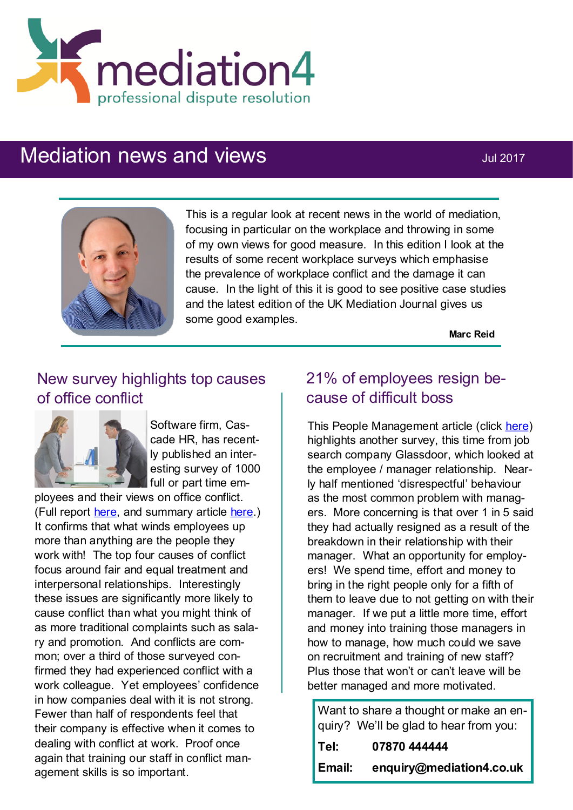

# Mediation news and views **Mediation** news and views



This is a regular look at recent news in the world of mediation, focusing in particular on the workplace and throwing in some of my own views for good measure. In this edition I look at the results of some recent workplace surveys which emphasise the prevalence of workplace conflict and the damage it can cause. In the light of this it is good to see positive case studies and the latest edition of the UK Mediation Journal gives us some good examples.

**Marc Reid**

# New survey highlights top causes of office conflict



Software firm, Cascade HR, has recently published an interesting survey of 1000 full or part time em-

ployees and their views on office conflict. (Full report [here,](https://www.cascadehr.co.uk/app/uploads/2017/06/Workplace-Conflict-Resolution-1.pdf) and summary article [here.\)](https://www.cascadehr.co.uk/top-causes-office-conflict/) It confirms that what winds employees up more than anything are the people they work with! The top four causes of conflict focus around fair and equal treatment and interpersonal relationships. Interestingly these issues are significantly more likely to cause conflict than what you might think of as more traditional complaints such as salary and promotion. And conflicts are common; over a third of those surveyed confirmed they had experienced conflict with a work colleague. Yet employees' confidence in how companies deal with it is not strong. Fewer than half of respondents feel that their company is effective when it comes to dealing with conflict at work. Proof once again that training our staff in conflict management skills is so important.

# 21% of employees resign because of difficult boss

This People Management article (click [here\)](http://www2.cipd.co.uk/pm/peoplemanagement/b/weblog/archive/2017/05/19/one-in-five-uk-employees-have-resigned-over-a-terrible-boss.aspx?utm_medium=email&utm_source=cipd&utm_campaign=pm_daily&utm_term=570597&utm_content=pm_daily_190517-10155-40531-201705191)  highlights another survey, this time from job search company Glassdoor, which looked at the employee / manager relationship. Nearly half mentioned 'disrespectful' behaviour as the most common problem with managers. More concerning is that over 1 in 5 said they had actually resigned as a result of the breakdown in their relationship with their manager. What an opportunity for employers! We spend time, effort and money to bring in the right people only for a fifth of them to leave due to not getting on with their manager. If we put a little more time, effort and money into training those managers in how to manage, how much could we save on recruitment and training of new staff? Plus those that won't or can't leave will be better managed and more motivated.

Want to share a thought or make an enquiry? We'll be glad to hear from you: **Tel: 07870 444444 Email: enquiry@mediation4.co.uk**